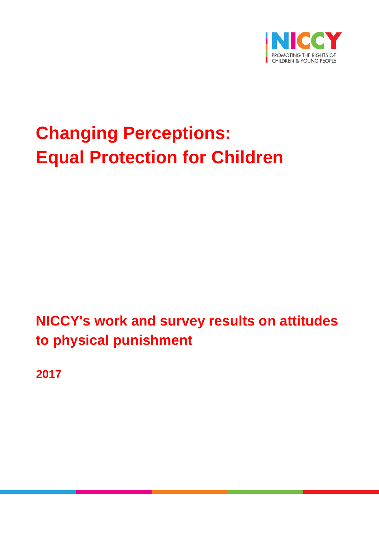

# **Changing Perceptions: Equal Protection for Children**

## **NICCY's work and survey results on attitudes to physical punishment**

**2017**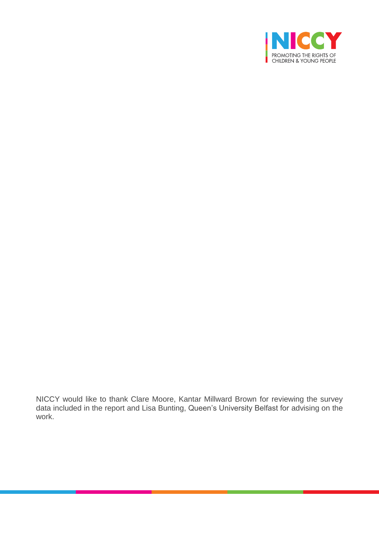

NICCY would like to thank Clare Moore, Kantar Millward Brown for reviewing the survey data included in the report and Lisa Bunting, Queen's University Belfast for advising on the work.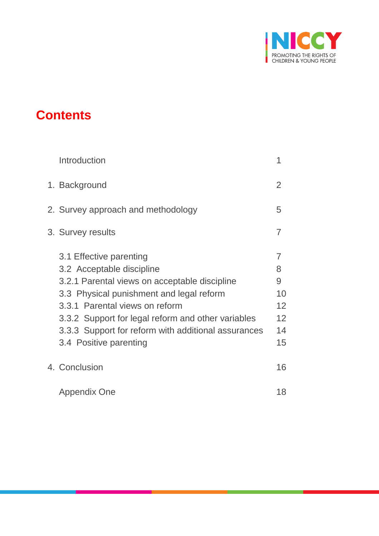

## **Contents**

| Introduction                                                                                                                                                                                                                                                                                                               | 1                                         |
|----------------------------------------------------------------------------------------------------------------------------------------------------------------------------------------------------------------------------------------------------------------------------------------------------------------------------|-------------------------------------------|
| 1. Background                                                                                                                                                                                                                                                                                                              | 2                                         |
| 2. Survey approach and methodology                                                                                                                                                                                                                                                                                         | 5                                         |
| 3. Survey results                                                                                                                                                                                                                                                                                                          | $\overline{7}$                            |
| 3.1 Effective parenting<br>3.2 Acceptable discipline<br>3.2.1 Parental views on acceptable discipline<br>3.3 Physical punishment and legal reform<br>3.3.1 Parental views on reform<br>3.3.2 Support for legal reform and other variables<br>3.3.3 Support for reform with additional assurances<br>3.4 Positive parenting | 7<br>8<br>9<br>10<br>12<br>12<br>14<br>15 |
| 4. Conclusion                                                                                                                                                                                                                                                                                                              | 16                                        |
| Appendix One                                                                                                                                                                                                                                                                                                               | 18                                        |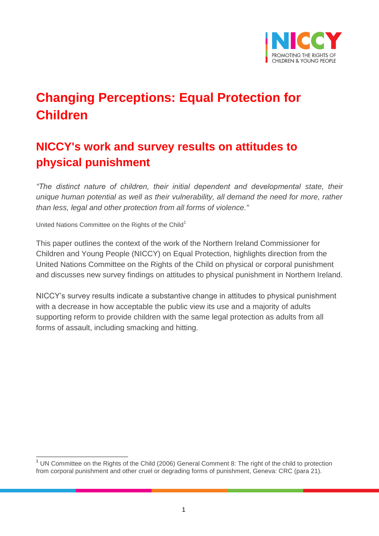

## **Changing Perceptions: Equal Protection for Children**

## **NICCY's work and survey results on attitudes to physical punishment**

*"The distinct nature of children, their initial dependent and developmental state, their unique human potential as well as their vulnerability, all demand the need for more, rather than less, legal and other protection from all forms of violence."*

United Nations Committee on the Rights of the Child<sup>1</sup>

This paper outlines the context of the work of the Northern Ireland Commissioner for Children and Young People (NICCY) on Equal Protection, highlights direction from the United Nations Committee on the Rights of the Child on physical or corporal punishment and discusses new survey findings on attitudes to physical punishment in Northern Ireland.

NICCY's survey results indicate a substantive change in attitudes to physical punishment with a decrease in how acceptable the public view its use and a majority of adults supporting reform to provide children with the same legal protection as adults from all forms of assault, including smacking and hitting.

 $\overline{\phantom{a}}$ <sup>1</sup> UN Committee on the Rights of the Child (2006) General Comment 8: The right of the child to protection from corporal punishment and other cruel or degrading forms of punishment, Geneva: CRC (para 21).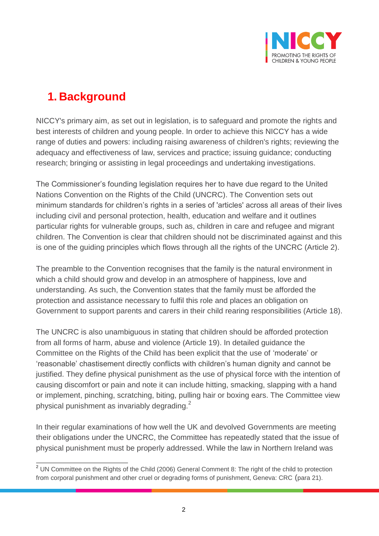

## **1. Background**

NICCY's primary aim, as set out in legislation, is to safeguard and promote the rights and best interests of children and young people. In order to achieve this NICCY has a wide range of duties and powers: including raising awareness of children's rights; reviewing the adequacy and effectiveness of law, services and practice; issuing guidance; conducting research; bringing or assisting in legal proceedings and undertaking investigations.

The Commissioner's founding legislation requires her to have due regard to the United Nations Convention on the Rights of the Child (UNCRC). The Convention sets out minimum standards for children's rights in a series of 'articles' across all areas of their lives including civil and personal protection, health, education and welfare and it outlines particular rights for vulnerable groups, such as, children in care and refugee and migrant children. The Convention is clear that children should not be discriminated against and this is one of the guiding principles which flows through all the rights of the UNCRC (Article 2).

The preamble to the Convention recognises that the family is the natural environment in which a child should grow and develop in an atmosphere of happiness, love and understanding. As such, the Convention states that the family must be afforded the protection and assistance necessary to fulfil this role and places an obligation on Government to support parents and carers in their child rearing responsibilities (Article 18).

The UNCRC is also unambiguous in stating that children should be afforded protection from all forms of harm, abuse and violence (Article 19). In detailed guidance the Committee on the Rights of the Child has been explicit that the use of 'moderate' or 'reasonable' chastisement directly conflicts with children's human dignity and cannot be justified. They define physical punishment as the use of physical force with the intention of causing discomfort or pain and note it can include hitting, smacking, slapping with a hand or implement, pinching, scratching, biting, pulling hair or boxing ears. The Committee view physical punishment as invariably degrading.<sup>2</sup>

In their regular examinations of how well the UK and devolved Governments are meeting their obligations under the UNCRC, the Committee has repeatedly stated that the issue of physical punishment must be properly addressed. While the law in Northern Ireland was

 $\overline{a}$ <sup>2</sup> UN Committee on the Rights of the Child (2006) General Comment 8: The right of the child to protection from corporal punishment and other cruel or degrading forms of punishment, Geneva: CRC (para 21).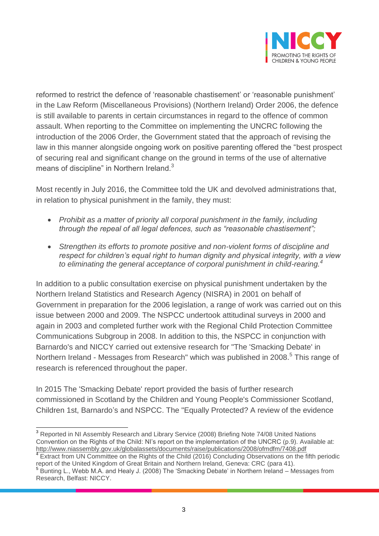

reformed to restrict the defence of 'reasonable chastisement' or 'reasonable punishment' in the Law Reform (Miscellaneous Provisions) (Northern Ireland) Order 2006, the defence is still available to parents in certain circumstances in regard to the offence of common assault. When reporting to the Committee on implementing the UNCRC following the introduction of the 2006 Order, the Government stated that the approach of revising the law in this manner alongside ongoing work on positive parenting offered the "best prospect of securing real and significant change on the ground in terms of the use of alternative means of discipline" in Northern Ireland.<sup>3</sup>

Most recently in July 2016, the Committee told the UK and devolved administrations that, in relation to physical punishment in the family, they must:

- *Prohibit as a matter of priority all corporal punishment in the family, including through the repeal of all legal defences, such as "reasonable chastisement";*
- *Strengthen its efforts to promote positive and non-violent forms of discipline and respect for children's equal right to human dignity and physical integrity, with a view to eliminating the general acceptance of corporal punishment in child-rearing.<sup>4</sup>*

In addition to a public consultation exercise on physical punishment undertaken by the Northern Ireland Statistics and Research Agency (NISRA) in 2001 on behalf of Government in preparation for the 2006 legislation, a range of work was carried out on this issue between 2000 and 2009. The NSPCC undertook attitudinal surveys in 2000 and again in 2003 and completed further work with the Regional Child Protection Committee Communications Subgroup in 2008. In addition to this, the NSPCC in conjunction with Barnardo's and NICCY carried out extensive research for "The 'Smacking Debate' in Northern Ireland - Messages from Research" which was published in 2008.<sup>5</sup> This range of research is referenced throughout the paper.

In 2015 The 'Smacking Debate' report provided the basis of further research commissioned in Scotland by the Children and Young People's Commissioner Scotland, Children 1st, Barnardo's and NSPCC. The "Equally Protected? A review of the evidence

 $\overline{a}$ <sup>3</sup> Reported in NI Assembly Research and Library Service (2008) Briefing Note 74/08 United Nations Convention on the Rights of the Child: NI's report on the implementation of the UNCRC (p.9). Available at: <http://www.niassembly.gov.uk/globalassets/documents/raise/publications/2008/ofmdfm/7408.pdf>

<sup>&</sup>lt;sup>4</sup> Extract from UN Committee on the Rights of the Child (2016) Concluding Observations on the fifth periodic report of the United Kingdom of Great Britain and Northern Ireland, Geneva: CRC (para 41).

<sup>5</sup> Bunting L., Webb M.A. and Healy J. (2008) The 'Smacking Debate' in Northern Ireland – Messages from Research, Belfast: NICCY.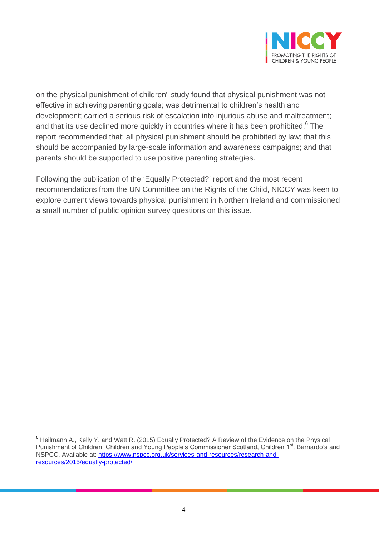

on the physical punishment of children" study found that physical punishment was not effective in achieving parenting goals; was detrimental to children's health and development; carried a serious risk of escalation into injurious abuse and maltreatment; and that its use declined more quickly in countries where it has been prohibited.<sup>6</sup> The report recommended that: all physical punishment should be prohibited by law; that this should be accompanied by large-scale information and awareness campaigns; and that parents should be supported to use positive parenting strategies.

Following the publication of the 'Equally Protected?' report and the most recent recommendations from the UN Committee on the Rights of the Child, NICCY was keen to explore current views towards physical punishment in Northern Ireland and commissioned a small number of public opinion survey questions on this issue.

 $\overline{a}$ 

<sup>&</sup>lt;sup>6</sup> Heilmann A., Kelly Y. and Watt R. (2015) Equally Protected? A Review of the Evidence on the Physical Punishment of Children, Children and Young People's Commissioner Scotland, Children 1<sup>st</sup>, Barnardo's and NSPCC. Available at: [https://www.nspcc.org.uk/services-and-resources/research-and](https://www.nspcc.org.uk/services-and-resources/research-and-resources/2015/equally-protected/)[resources/2015/equally-protected/](https://www.nspcc.org.uk/services-and-resources/research-and-resources/2015/equally-protected/)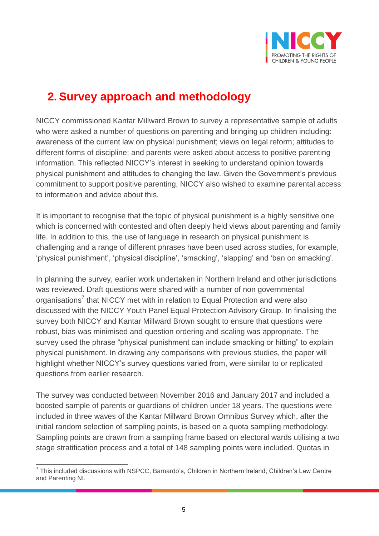

## **2. Survey approach and methodology**

NICCY commissioned Kantar Millward Brown to survey a representative sample of adults who were asked a number of questions on parenting and bringing up children including: awareness of the current law on physical punishment; views on legal reform; attitudes to different forms of discipline; and parents were asked about access to positive parenting information. This reflected NICCY's interest in seeking to understand opinion towards physical punishment and attitudes to changing the law. Given the Government's previous commitment to support positive parenting, NICCY also wished to examine parental access to information and advice about this.

It is important to recognise that the topic of physical punishment is a highly sensitive one which is concerned with contested and often deeply held views about parenting and family life. In addition to this, the use of language in research on physical punishment is challenging and a range of different phrases have been used across studies, for example, 'physical punishment', 'physical discipline', 'smacking', 'slapping' and 'ban on smacking'.

In planning the survey, earlier work undertaken in Northern Ireland and other jurisdictions was reviewed. Draft questions were shared with a number of non governmental organisations<sup>7</sup> that NICCY met with in relation to Equal Protection and were also discussed with the NICCY Youth Panel Equal Protection Advisory Group. In finalising the survey both NICCY and Kantar Millward Brown sought to ensure that questions were robust, bias was minimised and question ordering and scaling was appropriate. The survey used the phrase "physical punishment can include smacking or hitting" to explain physical punishment. In drawing any comparisons with previous studies, the paper will highlight whether NICCY's survey questions varied from, were similar to or replicated questions from earlier research.

The survey was conducted between November 2016 and January 2017 and included a boosted sample of parents or guardians of children under 18 years. The questions were included in three waves of the Kantar Millward Brown Omnibus Survey which, after the initial random selection of sampling points, is based on a quota sampling methodology. Sampling points are drawn from a sampling frame based on electoral wards utilising a two stage stratification process and a total of 148 sampling points were included. Quotas in

 7 This included discussions with NSPCC, Barnardo's, Children in Northern Ireland, Children's Law Centre and Parenting NI.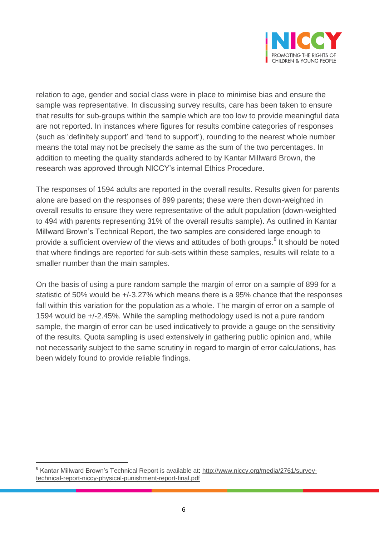

relation to age, gender and social class were in place to minimise bias and ensure the sample was representative. In discussing survey results, care has been taken to ensure that results for sub-groups within the sample which are too low to provide meaningful data are not reported. In instances where figures for results combine categories of responses (such as 'definitely support' and 'tend to support'), rounding to the nearest whole number means the total may not be precisely the same as the sum of the two percentages. In addition to meeting the quality standards adhered to by Kantar Millward Brown, the research was approved through NICCY's internal Ethics Procedure.

The responses of 1594 adults are reported in the overall results. Results given for parents alone are based on the responses of 899 parents; these were then down-weighted in overall results to ensure they were representative of the adult population (down-weighted to 494 with parents representing 31% of the overall results sample). As outlined in Kantar Millward Brown's Technical Report, the two samples are considered large enough to provide a sufficient overview of the views and attitudes of both groups.<sup>8</sup> It should be noted that where findings are reported for sub-sets within these samples, results will relate to a smaller number than the main samples.

On the basis of using a pure random sample the margin of error on a sample of 899 for a statistic of 50% would be +/-3.27% which means there is a 95% chance that the responses fall within this variation for the population as a whole. The margin of error on a sample of 1594 would be +/-2.45%. While the sampling methodology used is not a pure random sample, the margin of error can be used indicatively to provide a gauge on the sensitivity of the results. Quota sampling is used extensively in gathering public opinion and, while not necessarily subject to the same scrutiny in regard to margin of error calculations, has been widely found to provide reliable findings.

 $\overline{a}$ 

<sup>&</sup>lt;sup>8</sup> Kantar Millward Brown's Technical Report is available at: <u>http://www.niccy.org/media/2761/survey-</u> [technical-report-niccy-physical-punishment-report-final.pdf](http://www.niccy.org/media/2761/survey-technical-report-niccy-physical-punishment-report-final.pdf)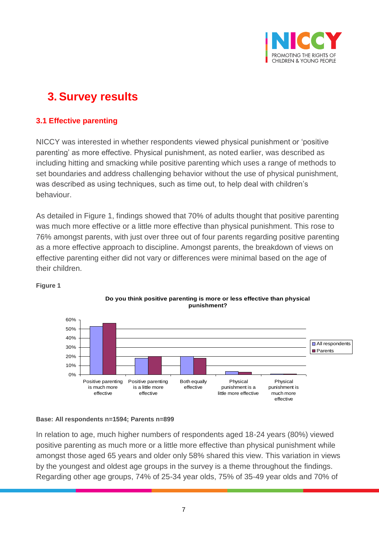

## **3. Survey results**

#### **3.1 Effective parenting**

NICCY was interested in whether respondents viewed physical punishment or 'positive parenting' as more effective. Physical punishment, as noted earlier, was described as including hitting and smacking while positive parenting which uses a range of methods to set boundaries and address challenging behavior without the use of physical punishment, was described as using techniques, such as time out, to help deal with children's behaviour.

As detailed in Figure 1, findings showed that 70% of adults thought that positive parenting was much more effective or a little more effective than physical punishment. This rose to 76% amongst parents, with just over three out of four parents regarding positive parenting as a more effective approach to discipline. Amongst parents, the breakdown of views on effective parenting either did not vary or differences were minimal based on the age of their children.



**Do you think positive parenting is more or less effective than physical punishment?**

#### **Figure 1**

#### **Base: All respondents n=1594; Parents n=899**

In relation to age, much higher numbers of respondents aged 18-24 years (80%) viewed positive parenting as much more or a little more effective than physical punishment while amongst those aged 65 years and older only 58% shared this view. This variation in views by the youngest and oldest age groups in the survey is a theme throughout the findings. Regarding other age groups, 74% of 25-34 year olds, 75% of 35-49 year olds and 70% of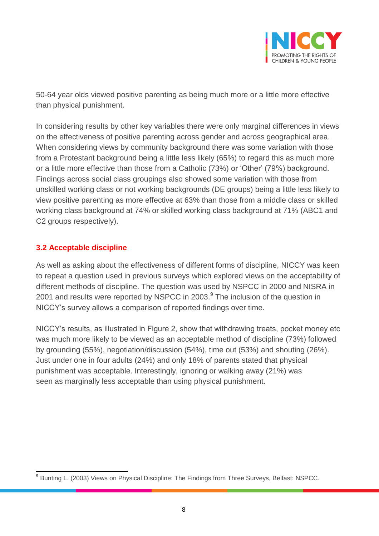

50-64 year olds viewed positive parenting as being much more or a little more effective than physical punishment.

In considering results by other key variables there were only marginal differences in views on the effectiveness of positive parenting across gender and across geographical area. When considering views by community background there was some variation with those from a Protestant background being a little less likely (65%) to regard this as much more or a little more effective than those from a Catholic (73%) or 'Other' (79%) background. Findings across social class groupings also showed some variation with those from unskilled working class or not working backgrounds (DE groups) being a little less likely to view positive parenting as more effective at 63% than those from a middle class or skilled working class background at 74% or skilled working class background at 71% (ABC1 and C2 groups respectively).

#### **3.2 Acceptable discipline**

As well as asking about the effectiveness of different forms of discipline, NICCY was keen to repeat a question used in previous surveys which explored views on the acceptability of different methods of discipline. The question was used by NSPCC in 2000 and NISRA in 2001 and results were reported by NSPCC in 2003. $^9$  The inclusion of the question in NICCY's survey allows a comparison of reported findings over time.

NICCY's results, as illustrated in Figure 2, show that withdrawing treats, pocket money etc was much more likely to be viewed as an acceptable method of discipline (73%) followed by grounding (55%), negotiation/discussion (54%), time out (53%) and shouting (26%). Just under one in four adults (24%) and only 18% of parents stated that physical punishment was acceptable. Interestingly, ignoring or walking away (21%) was seen as marginally less acceptable than using physical punishment.

<sup>9&</sup>lt;br><sup>9</sup> Bunting L. (2003) Views on Physical Discipline: The Findings from Three Surveys, Belfast: NSPCC.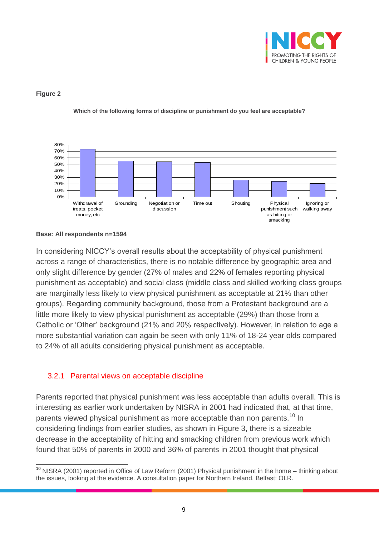

#### **Figure 2**



**Which of the following forms of discipline or punishment do you feel are acceptable?**

In considering NICCY's overall results about the acceptability of physical punishment across a range of characteristics, there is no notable difference by geographic area and only slight difference by gender (27% of males and 22% of females reporting physical punishment as acceptable) and social class (middle class and skilled working class groups are marginally less likely to view physical punishment as acceptable at 21% than other groups). Regarding community background, those from a Protestant background are a little more likely to view physical punishment as acceptable (29%) than those from a Catholic or 'Other' background (21% and 20% respectively). However, in relation to age a more substantial variation can again be seen with only 11% of 18-24 year olds compared to 24% of all adults considering physical punishment as acceptable.

#### 3.2.1 Parental views on acceptable discipline

Parents reported that physical punishment was less acceptable than adults overall. This is interesting as earlier work undertaken by NISRA in 2001 had indicated that, at that time, parents viewed physical punishment as more acceptable than non parents.<sup>10</sup> In considering findings from earlier studies, as shown in Figure 3, there is a sizeable decrease in the acceptability of hitting and smacking children from previous work which found that 50% of parents in 2000 and 36% of parents in 2001 thought that physical

**Base: All respondents n=1594**

 $\overline{a}$ <sup>10</sup> NISRA (2001) reported in Office of Law Reform (2001) Physical punishment in the home – thinking about the issues, looking at the evidence. A consultation paper for Northern Ireland, Belfast: OLR.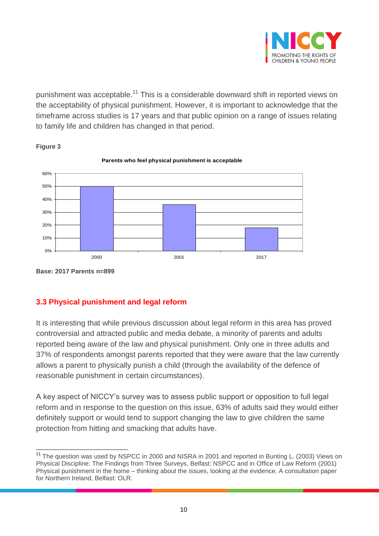

punishment was acceptable.<sup>11</sup> This is a considerable downward shift in reported views on the acceptability of physical punishment. However, it is important to acknowledge that the timeframe across studies is 17 years and that public opinion on a range of issues relating to family life and children has changed in that period.



**Figure 3**

#### **3.3 Physical punishment and legal reform**

It is interesting that while previous discussion about legal reform in this area has proved controversial and attracted public and media debate, a minority of parents and adults reported being aware of the law and physical punishment. Only one in three adults and 37% of respondents amongst parents reported that they were aware that the law currently allows a parent to physically punish a child (through the availability of the defence of reasonable punishment in certain circumstances).

A key aspect of NICCY's survey was to assess public support or opposition to full legal reform and in response to the question on this issue, 63% of adults said they would either definitely support or would tend to support changing the law to give children the same protection from hitting and smacking that adults have.

**Base: 2017 Parents n=899**

 $\overline{a}$ <sup>11</sup> The question was used by NSPCC in 2000 and NISRA in 2001 and reported in Bunting L. (2003) Views on Physical Discipline: The Findings from Three Surveys, Belfast: NSPCC and in Office of Law Reform (2001) Physical punishment in the home – thinking about the issues, looking at the evidence. A consultation paper for Northern Ireland, Belfast: OLR.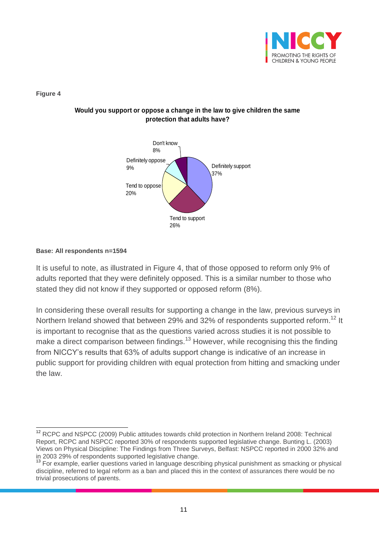

**Figure 4**

#### **Would you support or oppose a change in the law to give children the same protection that adults have?**



#### **Base: All respondents n=1594**

It is useful to note, as illustrated in Figure 4, that of those opposed to reform only 9% of adults reported that they were definitely opposed. This is a similar number to those who stated they did not know if they supported or opposed reform (8%).

In considering these overall results for supporting a change in the law, previous surveys in Northern Ireland showed that between 29% and 32% of respondents supported reform.<sup>12</sup> It is important to recognise that as the questions varied across studies it is not possible to make a direct comparison between findings.<sup>13</sup> However, while recognising this the finding from NICCY's results that 63% of adults support change is indicative of an increase in public support for providing children with equal protection from hitting and smacking under the law.

 $\overline{a}$ <sup>12</sup> RCPC and NSPCC (2009) Public attitudes towards child protection in Northern Ireland 2008: Technical Report, RCPC and NSPCC reported 30% of respondents supported legislative change. Bunting L. (2003) Views on Physical Discipline: The Findings from Three Surveys, Belfast: NSPCC reported in 2000 32% and in 2003 29% of respondents supported legislative change.

<sup>&</sup>lt;sup>13</sup> For example, earlier questions varied in language describing physical punishment as smacking or physical discipline, referred to legal reform as a ban and placed this in the context of assurances there would be no trivial prosecutions of parents.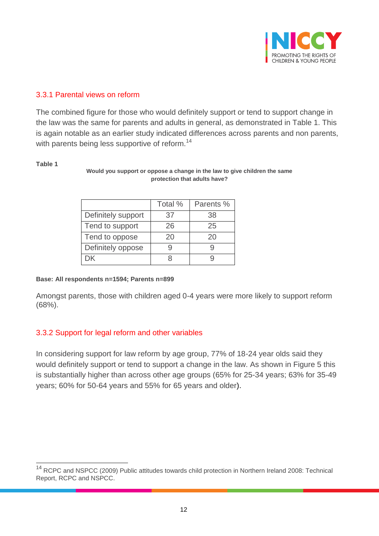

#### 3.3.1 Parental views on reform

The combined figure for those who would definitely support or tend to support change in the law was the same for parents and adults in general, as demonstrated in Table 1. This is again notable as an earlier study indicated differences across parents and non parents, with parents being less supportive of reform.<sup>14</sup>

#### **Table 1**

 $\overline{a}$ 

#### **Would you support or oppose a change in the law to give children the same protection that adults have?**

|                    | Total % | Parents % |
|--------------------|---------|-----------|
| Definitely support | 37      | 38        |
| Tend to support    | 26      | 25        |
| Tend to oppose     | 20      | 20        |
| Definitely oppose  |         |           |
| . X                |         |           |

#### **Base: All respondents n=1594; Parents n=899**

Amongst parents, those with children aged 0-4 years were more likely to support reform (68%).

#### 3.3.2 Support for legal reform and other variables

In considering support for law reform by age group, 77% of 18-24 year olds said they would definitely support or tend to support a change in the law. As shown in Figure 5 this is substantially higher than across other age groups (65% for 25-34 years; 63% for 35-49 years; 60% for 50-64 years and 55% for 65 years and older).

<sup>&</sup>lt;sup>14</sup> RCPC and NSPCC (2009) Public attitudes towards child protection in Northern Ireland 2008: Technical Report, RCPC and NSPCC.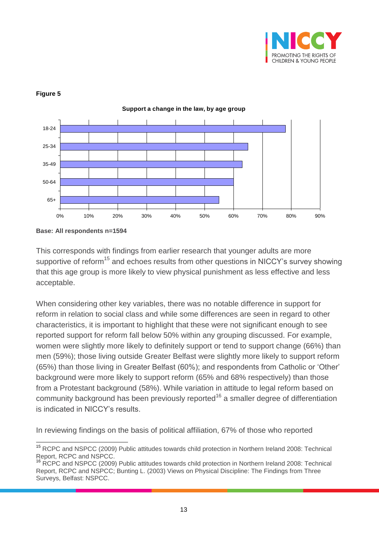



**Support a change in the law, by age group**

#### **Figure 5**

This corresponds with findings from earlier research that younger adults are more supportive of reform<sup>15</sup> and echoes results from other questions in NICCY's survey showing that this age group is more likely to view physical punishment as less effective and less acceptable.

When considering other key variables, there was no notable difference in support for reform in relation to social class and while some differences are seen in regard to other characteristics, it is important to highlight that these were not significant enough to see reported support for reform fall below 50% within any grouping discussed. For example, women were slightly more likely to definitely support or tend to support change (66%) than men (59%); those living outside Greater Belfast were slightly more likely to support reform (65%) than those living in Greater Belfast (60%); and respondents from Catholic or 'Other' background were more likely to support reform (65% and 68% respectively) than those from a Protestant background (58%). While variation in attitude to legal reform based on community background has been previously reported<sup>16</sup> a smaller degree of differentiation is indicated in NICCY's results.

In reviewing findings on the basis of political affiliation, 67% of those who reported

**Base: All respondents n=1594**

 $\overline{a}$ <sup>15</sup> RCPC and NSPCC (2009) Public attitudes towards child protection in Northern Ireland 2008: Technical Report, RCPC and NSPCC.

<sup>16</sup> RCPC and NSPCC (2009) Public attitudes towards child protection in Northern Ireland 2008: Technical Report, RCPC and NSPCC; Bunting L. (2003) Views on Physical Discipline: The Findings from Three Surveys, Belfast: NSPCC.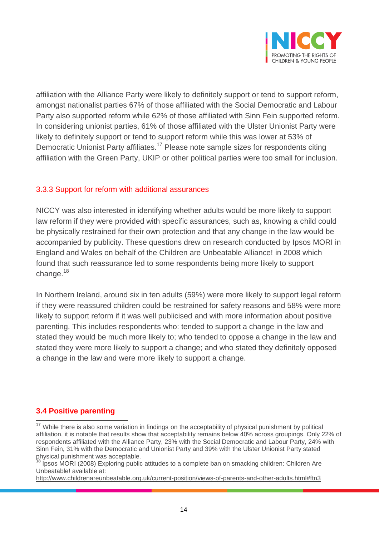

affiliation with the Alliance Party were likely to definitely support or tend to support reform, amongst nationalist parties 67% of those affiliated with the Social Democratic and Labour Party also supported reform while 62% of those affiliated with Sinn Fein supported reform. In considering unionist parties, 61% of those affiliated with the Ulster Unionist Party were likely to definitely support or tend to support reform while this was lower at 53% of Democratic Unionist Party affiliates.<sup>17</sup> Please note sample sizes for respondents citing affiliation with the Green Party, UKIP or other political parties were too small for inclusion.

#### 3.3.3 Support for reform with additional assurances

NICCY was also interested in identifying whether adults would be more likely to support law reform if they were provided with specific assurances, such as, knowing a child could be physically restrained for their own protection and that any change in the law would be accompanied by publicity. These questions drew on research conducted by Ipsos MORI in England and Wales on behalf of the Children are Unbeatable Alliance! in 2008 which found that such reassurance led to some respondents being more likely to support change. $18$ 

In Northern Ireland, around six in ten adults (59%) were more likely to support legal reform if they were reassured children could be restrained for safety reasons and 58% were more likely to support reform if it was well publicised and with more information about positive parenting. This includes respondents who: tended to support a change in the law and stated they would be much more likely to; who tended to oppose a change in the law and stated they were more likely to support a change; and who stated they definitely opposed a change in the law and were more likely to support a change.

#### **3.4 Positive parenting**

 $\overline{a}$ <sup>17</sup> While there is also some variation in findings on the acceptability of physical punishment by political affiliation, it is notable that results show that acceptability remains below 40% across groupings. Only 22% of respondents affiliated with the Alliance Party, 23% with the Social Democratic and Labour Party, 24% with Sinn Fein, 31% with the Democratic and Unionist Party and 39% with the Ulster Unionist Party stated physical punishment was acceptable.

<sup>18</sup> Ipsos MORI (2008) Exploring public attitudes to a complete ban on smacking children: Children Are Unbeatable! available at:

<http://www.childrenareunbeatable.org.uk/current-position/views-of-parents-and-other-adults.html#ftn3>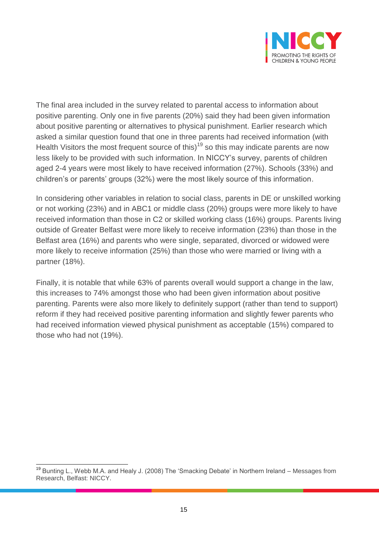

The final area included in the survey related to parental access to information about positive parenting. Only one in five parents (20%) said they had been given information about positive parenting or alternatives to physical punishment. Earlier research which asked a similar question found that one in three parents had received information (with Health Visitors the most frequent source of this)<sup>19</sup> so this may indicate parents are now less likely to be provided with such information. In NICCY's survey, parents of children aged 2-4 years were most likely to have received information (27%). Schools (33%) and children's or parents' groups (32%) were the most likely source of this information.

In considering other variables in relation to social class, parents in DE or unskilled working or not working (23%) and in ABC1 or middle class (20%) groups were more likely to have received information than those in C2 or skilled working class (16%) groups. Parents living outside of Greater Belfast were more likely to receive information (23%) than those in the Belfast area (16%) and parents who were single, separated, divorced or widowed were more likely to receive information (25%) than those who were married or living with a partner (18%).

Finally, it is notable that while 63% of parents overall would support a change in the law, this increases to 74% amongst those who had been given information about positive parenting. Parents were also more likely to definitely support (rather than tend to support) reform if they had received positive parenting information and slightly fewer parents who had received information viewed physical punishment as acceptable (15%) compared to those who had not (19%).

 $\overline{a}$ <sup>19</sup> Bunting L., Webb M.A. and Healy J. (2008) The 'Smacking Debate' in Northern Ireland – Messages from Research, Belfast: NICCY.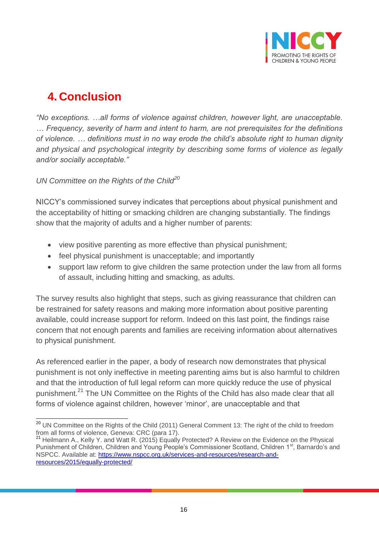

## **4. Conclusion**

*"No exceptions. …all forms of violence against children, however light, are unacceptable. … Frequency, severity of harm and intent to harm, are not prerequisites for the definitions of violence. … definitions must in no way erode the child's absolute right to human dignity and physical and psychological integrity by describing some forms of violence as legally and/or socially acceptable."* 

*UN Committee on the Rights of the Child<sup>20</sup>*

NICCY's commissioned survey indicates that perceptions about physical punishment and the acceptability of hitting or smacking children are changing substantially. The findings show that the majority of adults and a higher number of parents:

- view positive parenting as more effective than physical punishment;
- feel physical punishment is unacceptable; and importantly
- support law reform to give children the same protection under the law from all forms of assault, including hitting and smacking, as adults.

The survey results also highlight that steps, such as giving reassurance that children can be restrained for safety reasons and making more information about positive parenting available, could increase support for reform. Indeed on this last point, the findings raise concern that not enough parents and families are receiving information about alternatives to physical punishment.

As referenced earlier in the paper, a body of research now demonstrates that physical punishment is not only ineffective in meeting parenting aims but is also harmful to children and that the introduction of full legal reform can more quickly reduce the use of physical punishment.<sup>21</sup> The UN Committee on the Rights of the Child has also made clear that all forms of violence against children, however 'minor', are unacceptable and that

 $\overline{\phantom{a}}$ <sup>20</sup> UN Committee on the Rights of the Child (2011) General Comment 13: The right of the child to freedom from all forms of violence, Geneva: CRC (para 17).

<sup>21</sup> Heilmann A., Kelly Y. and Watt R. (2015) Equally Protected? A Review on the Evidence on the Physical Punishment of Children, Children and Young People's Commissioner Scotland, Children 1<sup>st</sup>, Barnardo's and NSPCC. Available at: [https://www.nspcc.org.uk/services-and-resources/research-and](https://www.nspcc.org.uk/services-and-resources/research-and-resources/2015/equally-protected/)[resources/2015/equally-protected/](https://www.nspcc.org.uk/services-and-resources/research-and-resources/2015/equally-protected/)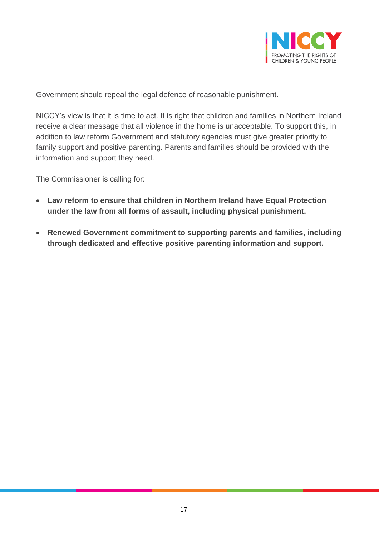

Government should repeal the legal defence of reasonable punishment.

NICCY's view is that it is time to act. It is right that children and families in Northern Ireland receive a clear message that all violence in the home is unacceptable. To support this, in addition to law reform Government and statutory agencies must give greater priority to family support and positive parenting. Parents and families should be provided with the information and support they need.

The Commissioner is calling for:

- **Law reform to ensure that children in Northern Ireland have Equal Protection under the law from all forms of assault, including physical punishment.**
- **Renewed Government commitment to supporting parents and families, including through dedicated and effective positive parenting information and support.**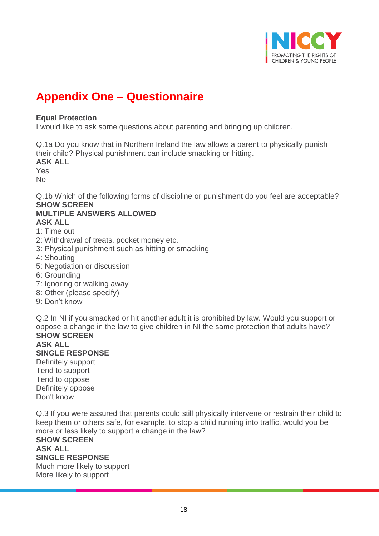

## **Appendix One – Questionnaire**

#### **Equal Protection**

I would like to ask some questions about parenting and bringing up children.

Q.1a Do you know that in Northern Ireland the law allows a parent to physically punish their child? Physical punishment can include smacking or hitting.

**ASK ALL** 

Yes

No

Q.1b Which of the following forms of discipline or punishment do you feel are acceptable? **SHOW SCREEN** 

#### **MULTIPLE ANSWERS ALLOWED ASK ALL**

1: Time out

- 2: Withdrawal of treats, pocket money etc.
- 3: Physical punishment such as hitting or smacking
- 4: Shouting
- 5: Negotiation or discussion
- 6: Grounding
- 7: Ignoring or walking away
- 8: Other (please specify)
- 9: Don't know

Q.2 In NI if you smacked or hit another adult it is prohibited by law. Would you support or oppose a change in the law to give children in NI the same protection that adults have? **SHOW SCREEN** 

#### **ASK ALL SINGLE RESPONSE**  Definitely support

Tend to support Tend to oppose Definitely oppose Don't know

Q.3 If you were assured that parents could still physically intervene or restrain their child to keep them or others safe, for example, to stop a child running into traffic, would you be more or less likely to support a change in the law?

#### **SHOW SCREEN ASK ALL SINGLE RESPONSE**  Much more likely to support More likely to support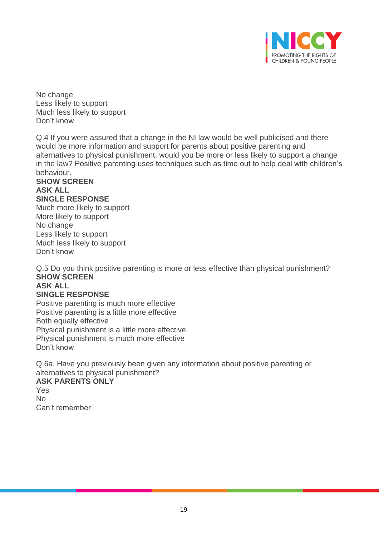

No change Less likely to support Much less likely to support Don't know

Q.4 If you were assured that a change in the NI law would be well publicised and there would be more information and support for parents about positive parenting and alternatives to physical punishment, would you be more or less likely to support a change in the law? Positive parenting uses techniques such as time out to help deal with children's behaviour.

#### **SHOW SCREEN ASK ALL SINGLE RESPONSE**

Much more likely to support More likely to support No change Less likely to support Much less likely to support Don't know

Q.5 Do you think positive parenting is more or less effective than physical punishment? **SHOW SCREEN** 

#### **ASK ALL**

#### **SINGLE RESPONSE**

Positive parenting is much more effective Positive parenting is a little more effective Both equally effective Physical punishment is a little more effective Physical punishment is much more effective Don't know

Q.6a. Have you previously been given any information about positive parenting or alternatives to physical punishment?

#### **ASK PARENTS ONLY**

Yes  $N<sub>0</sub>$ Can't remember